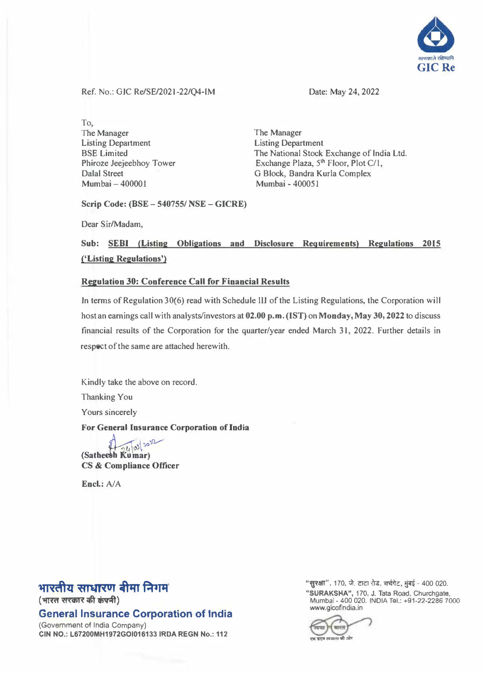

Ref. No.: GIC Re/SE/2021-22/Q4-IM

Date: May 24, 2022

To, The Manager Listing Department BSE Limited Phiroze Jeejeebhoy Tower Dalal Street Mumbai - 400001

The Manager Listing Department The National Stock Exchange of India Ltd. Exchange Plaza, 5<sup>th</sup> Floor, Plot C/1, G Block, Sandra Kurla Complex Mumbai - 400051

**Scrip Code: (BSE** -**540755/ NSE** - **GICRE)** 

Dear Sir/Madam,

### **Sub: SEBI (Listing Obligations and Disclosure Requirements) Regulations 2015 ('Listing Regulations')**

#### **Regulation 30: Conference Call for Financial Results**

In terms of Regulation 30(6) read with Schedule III of the Listing Regulations, the Corporation will host an earnings call with analysts/investors at **02.00** p.m. **(1ST)** on **Monday, May 30, 2022** to discuss financial results of the Corporation for the quarter/year ended March 31, 2022. Further details in respect of the same are attached herewith.

Kindly take the above on record.

Thanking You

Yours sincerely

**For General Insurance Corporation of India** 

 $\int_{\mathbb{R}} f(x) dx$   $\int_{\mathbb{R}} f(x) dx$  )  $\int_{\mathbb{R}} f(x) dx$ **CS & Compliance Officer** 

Encl.: A/A

## **भारतीय साधारण बीमा निगम**

(भारत सरकार की कंपनी)

**General Insurance Corporation of India** 

(Government of India Company) **CIN NO.: L67200MH1972GOI016133 IRDA REGN No.: 112**  "**सुरक्षा**", 170, जे. टाटा रोड, चर्चगेट, मुंबई - 400 020.

**"SURAKSHA",** 170, **J.** Tata Road, Churchgate, www.gicofindia.in Mumbai - 400 020. INDIA Tel.: +91-22-2286 7000

,<br>(अंग्लंड करण स्वच्छता की ओर